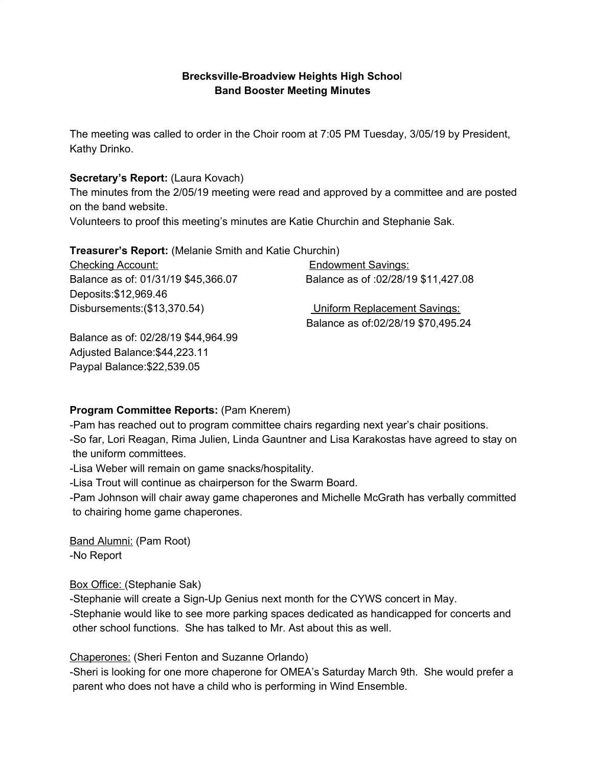### **Brecksville-Broadview Heights High Schoo**l **Band Booster Meeting Minutes**

The meeting was called to order in the Choir room at 7:05 PM Tuesday, 3/05/19 by President, Kathy Drinko.

### **Secretary's Report:** (Laura Kovach)

The minutes from the 2/05/19 meeting were read and approved by a committee and are posted on the band website.

Volunteers to proof this meeting's minutes are Katie Churchin and Stephanie Sak.

#### **Treasurer's Report:** (Melanie Smith and Katie Churchin)

Checking Account: Endowment Savings: Balance as of: 01/31/19 \$45,366.07 Balance as of :02/28/19 \$11,427.08 Deposits:\$12,969.46 Disbursements:(\$13,370.54) Uniform Replacement Savings: Balance as of:02/28/19 \$70,495.24

Balance as of: 02/28/19 \$44,964.99 Adjusted Balance:\$44,223.11 Paypal Balance:\$22,539.05

# **Program Committee Reports:** (Pam Knerem)

-Pam has reached out to program committee chairs regarding next year's chair positions. -So far, Lori Reagan, Rima Julien, Linda Gauntner and Lisa Karakostas have agreed to stay on the uniform committees.

-Lisa Weber will remain on game snacks/hospitality.

-Lisa Trout will continue as chairperson for the Swarm Board.

-Pam Johnson will chair away game chaperones and Michelle McGrath has verbally committed to chairing home game chaperones.

Band Alumni: (Pam Root) -No Report

Box Office: (Stephanie Sak)

-Stephanie will create a Sign-Up Genius next month for the CYWS concert in May. -Stephanie would like to see more parking spaces dedicated as handicapped for concerts and other school functions. She has talked to Mr. Ast about this as well.

Chaperones: (Sheri Fenton and Suzanne Orlando)

-Sheri is looking for one more chaperone for OMEA's Saturday March 9th. She would prefer a parent who does not have a child who is performing in Wind Ensemble.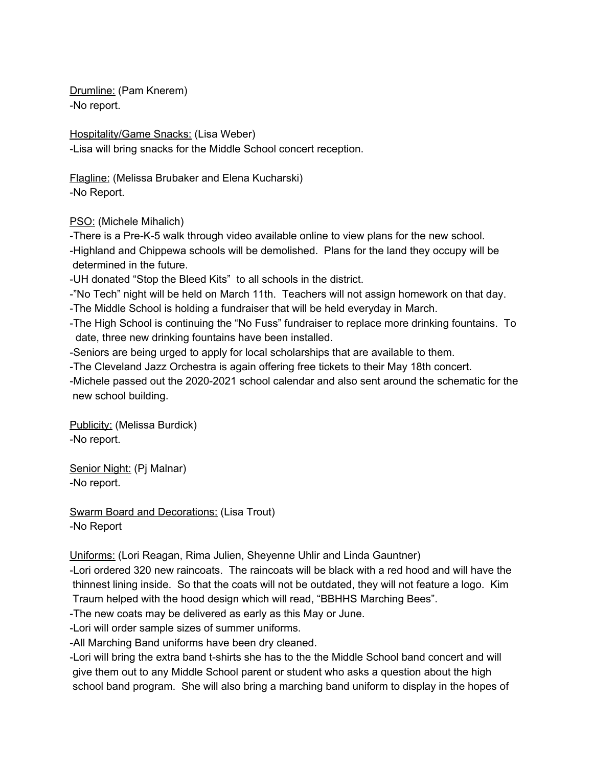Drumline: (Pam Knerem) -No report.

Hospitality/Game Snacks: (Lisa Weber) -Lisa will bring snacks for the Middle School concert reception.

Flagline: (Melissa Brubaker and Elena Kucharski) -No Report.

PSO: (Michele Mihalich)

-There is a Pre-K-5 walk through video available online to view plans for the new school. -Highland and Chippewa schools will be demolished. Plans for the land they occupy will be determined in the future.

-UH donated "Stop the Bleed Kits" to all schools in the district.

-"No Tech" night will be held on March 11th. Teachers will not assign homework on that day.

-The Middle School is holding a fundraiser that will be held everyday in March.

-The High School is continuing the "No Fuss" fundraiser to replace more drinking fountains. To date, three new drinking fountains have been installed.

-Seniors are being urged to apply for local scholarships that are available to them.

-The Cleveland Jazz Orchestra is again offering free tickets to their May 18th concert.

-Michele passed out the 2020-2021 school calendar and also sent around the schematic for the new school building.

Publicity: (Melissa Burdick) -No report.

Senior Night: (Pj Malnar) -No report.

Swarm Board and Decorations: (Lisa Trout) -No Report

Uniforms: (Lori Reagan, Rima Julien, Sheyenne Uhlir and Linda Gauntner)

-Lori ordered 320 new raincoats. The raincoats will be black with a red hood and will have the thinnest lining inside. So that the coats will not be outdated, they will not feature a logo. Kim Traum helped with the hood design which will read, "BBHHS Marching Bees".

-The new coats may be delivered as early as this May or June.

-Lori will order sample sizes of summer uniforms.

-All Marching Band uniforms have been dry cleaned.

-Lori will bring the extra band t-shirts she has to the the Middle School band concert and will give them out to any Middle School parent or student who asks a question about the high school band program. She will also bring a marching band uniform to display in the hopes of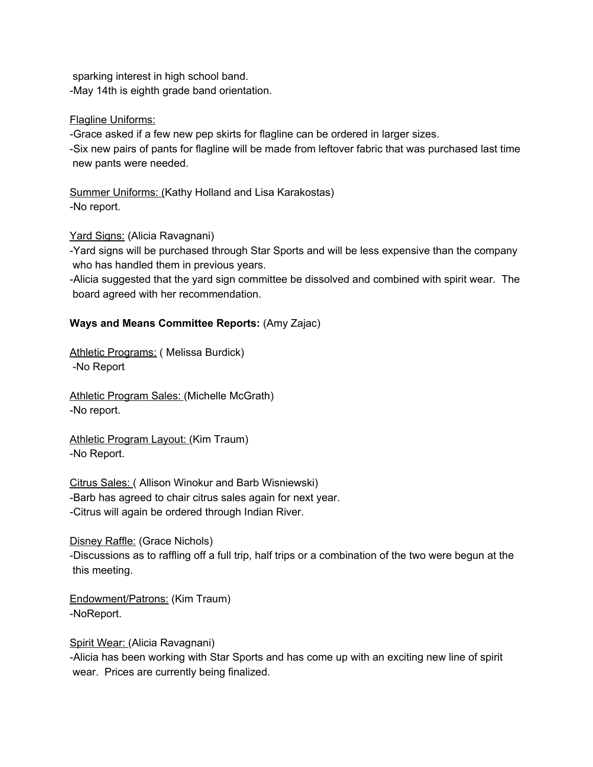sparking interest in high school band. -May 14th is eighth grade band orientation.

Flagline Uniforms:

-Grace asked if a few new pep skirts for flagline can be ordered in larger sizes.

-Six new pairs of pants for flagline will be made from leftover fabric that was purchased last time new pants were needed.

Summer Uniforms: (Kathy Holland and Lisa Karakostas) -No report.

Yard Signs: (Alicia Ravagnani)

-Yard signs will be purchased through Star Sports and will be less expensive than the company who has handled them in previous years.

-Alicia suggested that the yard sign committee be dissolved and combined with spirit wear. The board agreed with her recommendation.

# **Ways and Means Committee Reports:** (Amy Zajac)

Athletic Programs: (Melissa Burdick) -No Report

Athletic Program Sales: (Michelle McGrath) -No report.

Athletic Program Layout: (Kim Traum) -No Report.

Citrus Sales: ( Allison Winokur and Barb Wisniewski) -Barb has agreed to chair citrus sales again for next year. -Citrus will again be ordered through Indian River.

Disney Raffle: (Grace Nichols) -Discussions as to raffling off a full trip, half trips or a combination of the two were begun at the this meeting.

Endowment/Patrons: (Kim Traum) -NoReport.

Spirit Wear: (Alicia Ravagnani)

-Alicia has been working with Star Sports and has come up with an exciting new line of spirit wear. Prices are currently being finalized.